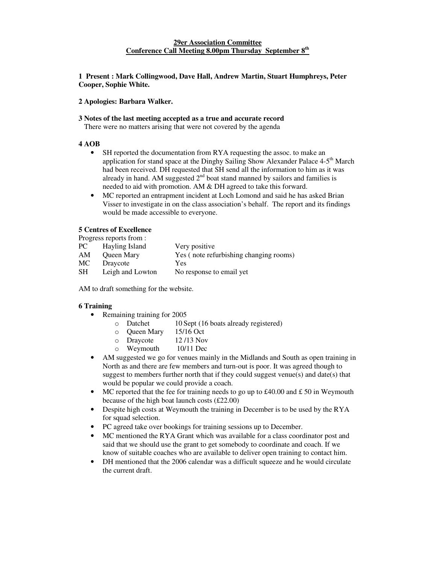**1 Present : Mark Collingwood, Dave Hall, Andrew Martin, Stuart Humphreys, Peter Cooper, Sophie White.**

**2 Apologies: Barbara Walker.**

### **3 Notes of the last meeting accepted as a true and accurate record**

There were no matters arising that were not covered by the agenda

### **4 AOB**

- SH reported the documentation from RYA requesting the assoc. to make an application for stand space at the Dinghy Sailing Show Alexander Palace 4-5<sup>th</sup> March had been received. DH requested that SH send all the information to him as it was already in hand. AM suggested  $2<sup>nd</sup>$  boat stand manned by sailors and families is needed to aid with promotion. AM & DH agreed to take this forward.
- MC reported an entrapment incident at Loch Lomond and said he has asked Brian Visser to investigate in on the class association's behalf. The report and its findings would be made accessible to everyone.

# **5 Centres of Excellence**

Progress reports from :

| PC.       | Hayling Island   | Very positive                          |
|-----------|------------------|----------------------------------------|
| AM        | Queen Mary       | Yes (note refurbishing changing rooms) |
| MC        | Draycote         | Yes                                    |
| <b>SH</b> | Leigh and Lowton | No response to email yet               |
|           |                  |                                        |

AM to draft something for the website.

# **6 Training**

- Remaining training for 2005
	- o Datchet 10 Sept (16 boats already registered)
	- o Queen Mary 15/16 Oct
	- o Draycote 12 /13 Nov
	- o Weymouth 10/11 Dec
- AM suggested we go for venues mainly in the Midlands and South as open training in North as and there are few members and turn-out is poor. It was agreed though to suggest to members further north that if they could suggest venue(s) and date(s) that would be popular we could provide a coach.
- MC reported that the fee for training needs to go up to  $\text{\pounds}40.00$  and  $\text{\pounds}50$  in Weymouth because of the high boat launch costs (£22.00)
- Despite high costs at Weymouth the training in December is to be used by the RYA for squad selection.
- PC agreed take over bookings for training sessions up to December.
- MC mentioned the RYA Grant which was available for a class coordinator post and said that we should use the grant to get somebody to coordinate and coach. If we know of suitable coaches who are available to deliver open training to contact him.
- DH mentioned that the 2006 calendar was a difficult squeeze and he would circulate the current draft.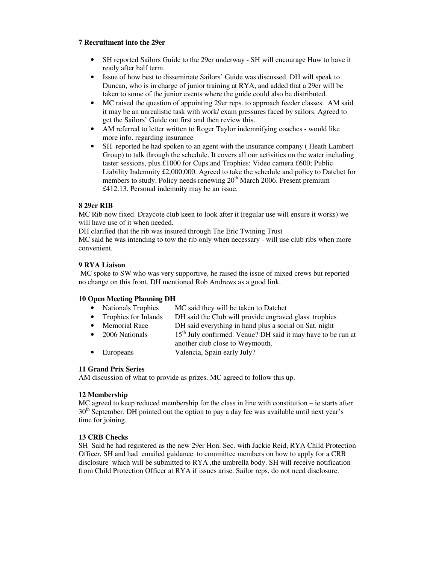### **7 Recruitment into the 29er**

- SH reported Sailors Guide to the 29er underway SH will encourage Huw to have it ready after half term.
- Issue of how best to disseminate Sailors' Guide was discussed. DH will speak to Duncan, who is in charge of junior training at RYA, and added that a 29er will be taken to some of the junior events where the guide could also be distributed.
- MC raised the question of appointing 29er reps. to approach feeder classes. AM said it may be an unrealistic task with work/ exam pressures faced by sailors. Agreed to get the Sailors' Guide out first and then review this.
- AM referred to letter written to Roger Taylor indemnifying coaches would like more info. regarding insurance
- SH reported he had spoken to an agent with the insurance company ( Heath Lambert Group) to talk through the schedule. It covers all our activities on the water including taster sessions, plus £1000 for Cups and Trophies; Video camera £600; Public Liability Indemnity £2,000,000. Agreed to take the schedule and policy to Datchet for members to study. Policy needs renewing 20<sup>th</sup> March 2006. Present premium £412.13. Personal indemnity may be an issue.

# **8 29er RIB**

MC Rib now fixed. Draycote club keen to look after it (regular use will ensure it works) we will have use of it when needed.

DH clarified that the rib was insured through The Eric Twining Trust

MC said he was intending to tow the rib only when necessary - will use club ribs when more convenient.

# **9 RYA Liaison**

MC spoke to SW who was very supportive, he raised the issue of mixed crews but reported no change on this front. DH mentioned Rob Andrews as a good link.

# **10 Open Meeting Planning DH**

- Nationals Trophies MC said they will be taken to Datchet
- Trophies for Inlands DH said the Club will provide engraved glass trophies
	- Memorial Race DH said everything in hand plus a social on Sat. night
- 2006 Nationals <sup>th</sup> July confirmed. Venue? DH said it may have to be run at another club close to Weymouth.
- Europeans Valencia, Spain early July?

# **11 Grand Prix Series**

AM discussion of what to provide as prizes. MC agreed to follow this up.

# **12 Membership**

MC agreed to keep reduced membership for the class in line with constitution – ie starts after 30<sup>th</sup> September. DH pointed out the option to pay a day fee was available until next year's time for joining.

# **13 CRB Checks**

SH Said he had registered as the new 29er Hon. Sec. with Jackie Reid, RYA Child Protection Officer, SH and had emailed guidance to committee members on how to apply for a CRB disclosure which will be submitted to RYA ,the umbrella body. SH will receive notification from Child Protection Officer at RYA if issues arise. Sailor reps. do not need disclosure.